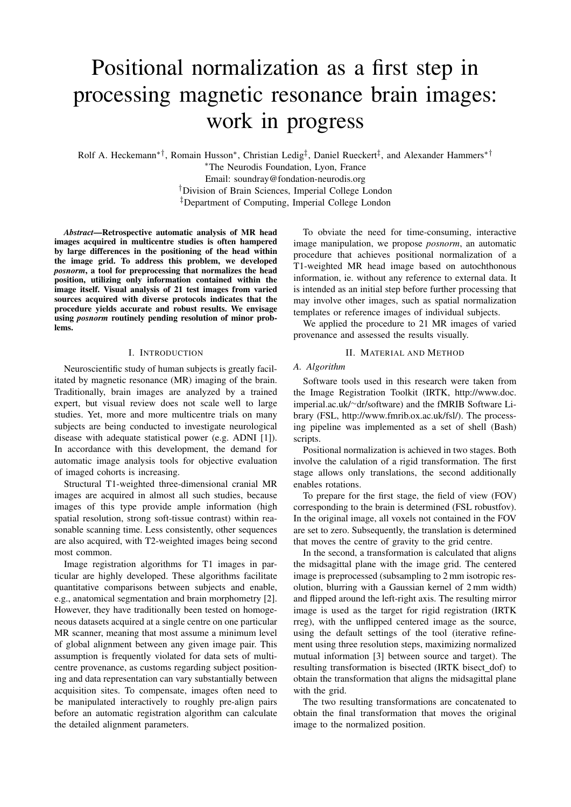# Positional normalization as a first step in processing magnetic resonance brain images: work in progress

Rolf A. Heckemann<sup>∗†</sup>, Romain Husson<sup>∗</sup>, Christian Ledig<sup>‡</sup>, Daniel Rueckert<sup>‡</sup>, and Alexander Hammers<sup>∗†</sup>

<sup>∗</sup>The Neurodis Foundation, Lyon, France Email: soundray@fondation-neurodis.org †Division of Brain Sciences, Imperial College London ‡Department of Computing, Imperial College London

*Abstract*—Retrospective automatic analysis of MR head images acquired in multicentre studies is often hampered by large differences in the positioning of the head within the image grid. To address this problem, we developed *posnorm*, a tool for preprocessing that normalizes the head position, utilizing only information contained within the image itself. Visual analysis of 21 test images from varied sources acquired with diverse protocols indicates that the procedure yields accurate and robust results. We envisage using *posnorm* routinely pending resolution of minor problems.

## I. INTRODUCTION

Neuroscientific study of human subjects is greatly facilitated by magnetic resonance (MR) imaging of the brain. Traditionally, brain images are analyzed by a trained expert, but visual review does not scale well to large studies. Yet, more and more multicentre trials on many subjects are being conducted to investigate neurological disease with adequate statistical power (e.g. ADNI [1]). In accordance with this development, the demand for automatic image analysis tools for objective evaluation of imaged cohorts is increasing.

Structural T1-weighted three-dimensional cranial MR images are acquired in almost all such studies, because images of this type provide ample information (high spatial resolution, strong soft-tissue contrast) within reasonable scanning time. Less consistently, other sequences are also acquired, with T2-weighted images being second most common.

Image registration algorithms for T1 images in particular are highly developed. These algorithms facilitate quantitative comparisons between subjects and enable, e.g., anatomical segmentation and brain morphometry [2]. However, they have traditionally been tested on homogeneous datasets acquired at a single centre on one particular MR scanner, meaning that most assume a minimum level of global alignment between any given image pair. This assumption is frequently violated for data sets of multicentre provenance, as customs regarding subject positioning and data representation can vary substantially between acquisition sites. To compensate, images often need to be manipulated interactively to roughly pre-align pairs before an automatic registration algorithm can calculate the detailed alignment parameters.

To obviate the need for time-consuming, interactive image manipulation, we propose *posnorm*, an automatic procedure that achieves positional normalization of a T1-weighted MR head image based on autochthonous information, ie. without any reference to external data. It is intended as an initial step before further processing that may involve other images, such as spatial normalization templates or reference images of individual subjects.

We applied the procedure to 21 MR images of varied provenance and assessed the results visually.

### II. MATERIAL AND METHOD

#### *A. Algorithm*

Software tools used in this research were taken from the Image Registration Toolkit (IRTK, http://www.doc. imperial.ac.uk/∼dr/software) and the fMRIB Software Library (FSL, http://www.fmrib.ox.ac.uk/fsl/). The processing pipeline was implemented as a set of shell (Bash) scripts.

Positional normalization is achieved in two stages. Both involve the calulation of a rigid transformation. The first stage allows only translations, the second additionally enables rotations.

To prepare for the first stage, the field of view (FOV) corresponding to the brain is determined (FSL robustfov). In the original image, all voxels not contained in the FOV are set to zero. Subsequently, the translation is determined that moves the centre of gravity to the grid centre.

In the second, a transformation is calculated that aligns the midsagittal plane with the image grid. The centered image is preprocessed (subsampling to 2 mm isotropic resolution, blurring with a Gaussian kernel of 2 mm width) and flipped around the left-right axis. The resulting mirror image is used as the target for rigid registration (IRTK rreg), with the unflipped centered image as the source, using the default settings of the tool (iterative refinement using three resolution steps, maximizing normalized mutual information [3] between source and target). The resulting transformation is bisected (IRTK bisect dof) to obtain the transformation that aligns the midsagittal plane with the grid.

The two resulting transformations are concatenated to obtain the final transformation that moves the original image to the normalized position.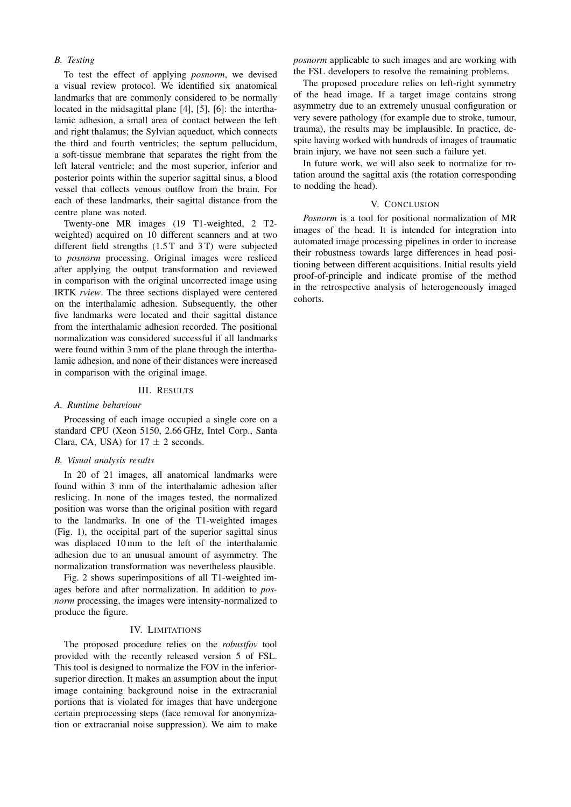## *B. Testing*

To test the effect of applying *posnorm*, we devised a visual review protocol. We identified six anatomical landmarks that are commonly considered to be normally located in the midsagittal plane [4], [5], [6]: the interthalamic adhesion, a small area of contact between the left and right thalamus; the Sylvian aqueduct, which connects the third and fourth ventricles; the septum pellucidum, a soft-tissue membrane that separates the right from the left lateral ventricle; and the most superior, inferior and posterior points within the superior sagittal sinus, a blood vessel that collects venous outflow from the brain. For each of these landmarks, their sagittal distance from the centre plane was noted.

Twenty-one MR images (19 T1-weighted, 2 T2 weighted) acquired on 10 different scanners and at two different field strengths (1.5 T and 3 T) were subjected to *posnorm* processing. Original images were resliced after applying the output transformation and reviewed in comparison with the original uncorrected image using IRTK *rview*. The three sections displayed were centered on the interthalamic adhesion. Subsequently, the other five landmarks were located and their sagittal distance from the interthalamic adhesion recorded. The positional normalization was considered successful if all landmarks were found within 3 mm of the plane through the interthalamic adhesion, and none of their distances were increased in comparison with the original image.

## III. RESULTS

#### *A. Runtime behaviour*

Processing of each image occupied a single core on a standard CPU (Xeon 5150, 2.66 GHz, Intel Corp., Santa Clara, CA, USA) for  $17 \pm 2$  seconds.

### *B. Visual analysis results*

In 20 of 21 images, all anatomical landmarks were found within 3 mm of the interthalamic adhesion after reslicing. In none of the images tested, the normalized position was worse than the original position with regard to the landmarks. In one of the T1-weighted images (Fig. 1), the occipital part of the superior sagittal sinus was displaced 10 mm to the left of the interthalamic adhesion due to an unusual amount of asymmetry. The normalization transformation was nevertheless plausible.

Fig. 2 shows superimpositions of all T1-weighted images before and after normalization. In addition to *posnorm* processing, the images were intensity-normalized to produce the figure.

## IV. LIMITATIONS

The proposed procedure relies on the *robustfov* tool provided with the recently released version 5 of FSL. This tool is designed to normalize the FOV in the inferiorsuperior direction. It makes an assumption about the input image containing background noise in the extracranial portions that is violated for images that have undergone certain preprocessing steps (face removal for anonymization or extracranial noise suppression). We aim to make *posnorm* applicable to such images and are working with the FSL developers to resolve the remaining problems.

The proposed procedure relies on left-right symmetry of the head image. If a target image contains strong asymmetry due to an extremely unusual configuration or very severe pathology (for example due to stroke, tumour, trauma), the results may be implausible. In practice, despite having worked with hundreds of images of traumatic brain injury, we have not seen such a failure yet.

In future work, we will also seek to normalize for rotation around the sagittal axis (the rotation corresponding to nodding the head).

#### V. CONCLUSION

*Posnorm* is a tool for positional normalization of MR images of the head. It is intended for integration into automated image processing pipelines in order to increase their robustness towards large differences in head positioning between different acquisitions. Initial results yield proof-of-principle and indicate promise of the method in the retrospective analysis of heterogeneously imaged cohorts.